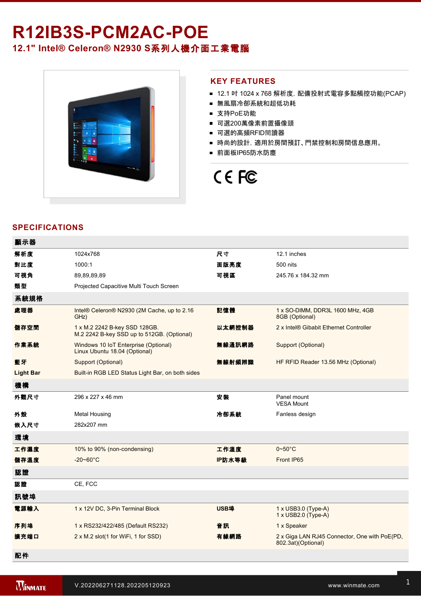# R12IB3S-PCM2AC-POE **12.1" Intel® Celeron® N2930 S**系列人機介面工業電腦



#### **KEY FEATURES**

- 12.1 吋 1024 x 768 解析度, 配備投射式電容多點觸控功能(PCAP)
- 無風扇冷卻系統和超低功耗
- 支持PoE功能
- 可選200萬像素前置攝像頭
- 可選的高頻RFID閱讀器
- 時尚的設計, 適用於房間預訂、門禁控制和房間信息應用。
- 前面板IP65防水防塵

# CE FC

## **SPECIFICATIONS**

| 顯示器              |                                                                             |        |                                                                     |
|------------------|-----------------------------------------------------------------------------|--------|---------------------------------------------------------------------|
| 解析度              | 1024x768                                                                    | 尺寸     | 12.1 inches                                                         |
| 對比度              | 1000:1                                                                      | 面版亮度   | 500 nits                                                            |
| 可視角              | 89,89,89,89                                                                 | 可視區    | 245.76 x 184.32 mm                                                  |
| 類型               | Projected Capacitive Multi Touch Screen                                     |        |                                                                     |
| 系統規格             |                                                                             |        |                                                                     |
| 處理器              | Intel® Celeron® N2930 (2M Cache, up to 2.16<br>GHz)                         | 記憶體    | 1 x SO-DIMM, DDR3L 1600 MHz, 4GB<br>8GB (Optional)                  |
| 儲存空間             | 1 x M.2 2242 B-key SSD 128GB.<br>M.2 2242 B-key SSD up to 512GB. (Optional) | 以太網控制器 | 2 x Intel® Gibabit Ethernet Controller                              |
| 作業系統             | Windows 10 IoT Enterprise (Optional)<br>Linux Ubuntu 18.04 (Optional)       | 無線通訊網路 | Support (Optional)                                                  |
| 藍牙               | Support (Optional)                                                          | 無線射頻辨識 | HF RFID Reader 13.56 MHz (Optional)                                 |
| <b>Light Bar</b> | Built-in RGB LED Status Light Bar, on both sides                            |        |                                                                     |
| 機構               |                                                                             |        |                                                                     |
| 外觀尺寸             | 296 x 227 x 46 mm                                                           | 安装     | Panel mount<br><b>VESA Mount</b>                                    |
| 外殼               | <b>Metal Housing</b>                                                        | 冷卻系統   | Fanless design                                                      |
| 嵌入尺寸             | 282x207 mm                                                                  |        |                                                                     |
| 環境               |                                                                             |        |                                                                     |
| 工作濕度             | 10% to 90% (non-condensing)                                                 | 工作溫度   | $0 - 50$ °C                                                         |
| 儲存溫度             | $-20 - 60^{\circ}$ C                                                        | IP防水等級 | Front IP65                                                          |
| 認證               |                                                                             |        |                                                                     |
| 認證               | CE, FCC                                                                     |        |                                                                     |
| 訊號埠              |                                                                             |        |                                                                     |
| 電源輸入             | 1 x 12V DC, 3-Pin Terminal Block                                            | USB埠   | $1 \times$ USB3.0 (Type-A)<br>1 x USB2.0 (Type-A)                   |
| 序列埠              | 1 x RS232/422/485 (Default RS232)                                           | 音訊     | 1 x Speaker                                                         |
| 擴充端口             | 2 x M.2 slot(1 for WiFi, 1 for SSD)                                         | 有線網路   | 2 x Giga LAN RJ45 Connector, One with PoE(PD,<br>802.3at)(Optional) |
| 配件               |                                                                             |        |                                                                     |

Power Cord

VESA Desk Stand (Optional)

VESA bracket mounting kit (Optional)